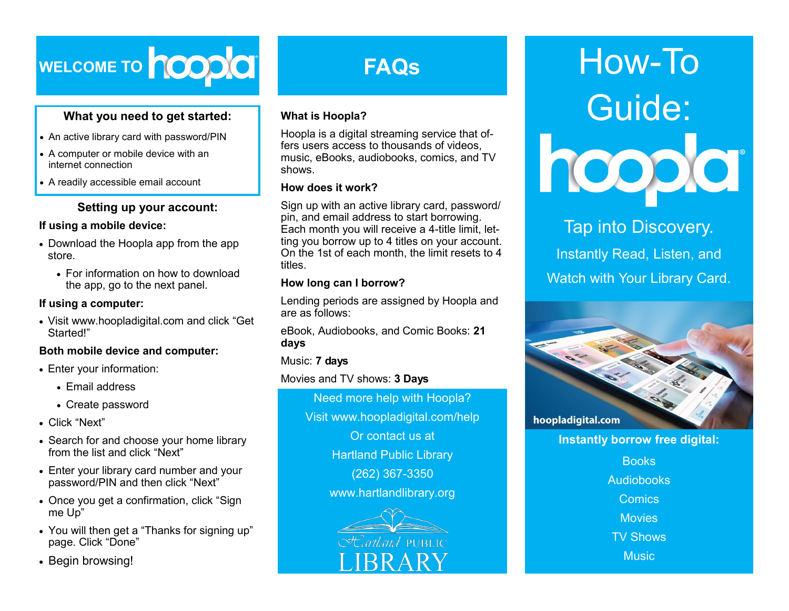

## **What you need to get started:**

- An active library card with password/PIN
- A computer or mobile device with an internet connection
- A readily accessible email account

## **Setting up your account:**

#### **If using a mobile device:**

- Download the Hoopla app from the app store.
	- For information on how to download the app, go to the next panel.

## **If using a computer:**

 Visit www.hoopladigital.com and click "Get Started!"

#### **Both mobile device and computer:**

- Enter your information:
	- Email address
	- Create password
- Click "Next"
- Search for and choose your home library from the list and click "Next"
- Enter your library card number and your password/PIN and then click "Next"
- Once you get a confirmation, click "Sign me Up"
- You will then get a "Thanks for signing up" page. Click "Done"
- Begin browsing!

# **FAQs**

## **What is Hoopla?**

Hoopla is a digital streaming service that offers users access to thousands of videos, music, eBooks, audiobooks, comics, and TV shows.

## **How does it work?**

Sign up with an active library card, password/ pin, and email address to start borrowing. Each month you will receive a 4-title limit, letting you borrow up to 4 titles on your account. On the 1st of each month, the limit resets to 4 titles.

## **How long can I borrow?**

Lending periods are assigned by Hoopla and are as follows:

eBook, Audiobooks, and Comic Books: **21 days**

## Music: **7 days**

Movies and TV shows: **3 Days**

Need more help with Hoopla? Visit www.hoopladigital.com/help Or contact us at Hartland Public Library (262) 367-3350 www.hartlandlibrary.org



# How-To Guide:

## Tap into Discovery.

Instantly Read, Listen, and Watch with Your Library Card.



**Instantly borrow free digital:**

**Books** Audiobooks **Comics Movies** TV Shows **Music**